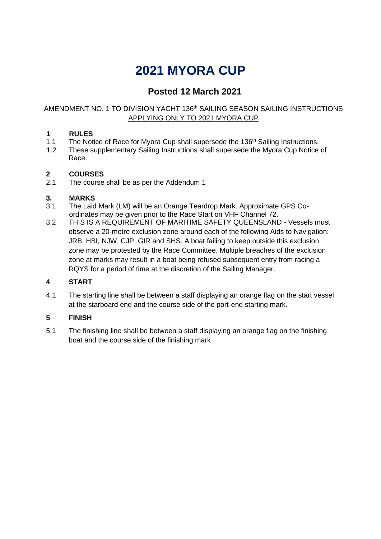# **2021 MYORA CUP**

### **Posted 12 March 2021**

### AMENDMENT NO. 1 TO DIVISION YACHT 136<sup>th</sup> SAILING SEASON SAILING INSTRUCTIONS APPLYING ONLY TO 2021 MYORA CUP

### **1 RULES**

- 1.1 The Notice of Race for Myora Cup shall supersede the 136<sup>th</sup> Sailing Instructions.
- 1.2 These supplementary Sailing Instructions shall supersede the Myora Cup Notice of Race.

## **2 COURSES**

The course shall be as per the Addendum 1

### **3. MARKS**

- 3.1 The Laid Mark (LM) will be an Orange Teardrop Mark. Approximate GPS Coordinates may be given prior to the Race Start on VHF Channel 72.
- 3.2 THIS IS A REQUIREMENT OF MARITIME SAFETY QUEENSLAND Vessels must observe a 20-metre exclusion zone around each of the following Aids to Navigation: JRB, HBI, NJW, CJP, GIR and SHS. A boat failing to keep outside this exclusion zone may be protested by the Race Committee. Multiple breaches of the exclusion zone at marks may result in a boat being refused subsequent entry from racing a RQYS for a period of time at the discretion of the Sailing Manager.

### **4 START**

4.1 The starting line shall be between a staff displaying an orange flag on the start vessel at the starboard end and the course side of the port-end starting mark.

### **5 FINISH**

5.1 The finishing line shall be between a staff displaying an orange flag on the finishing boat and the course side of the finishing mark